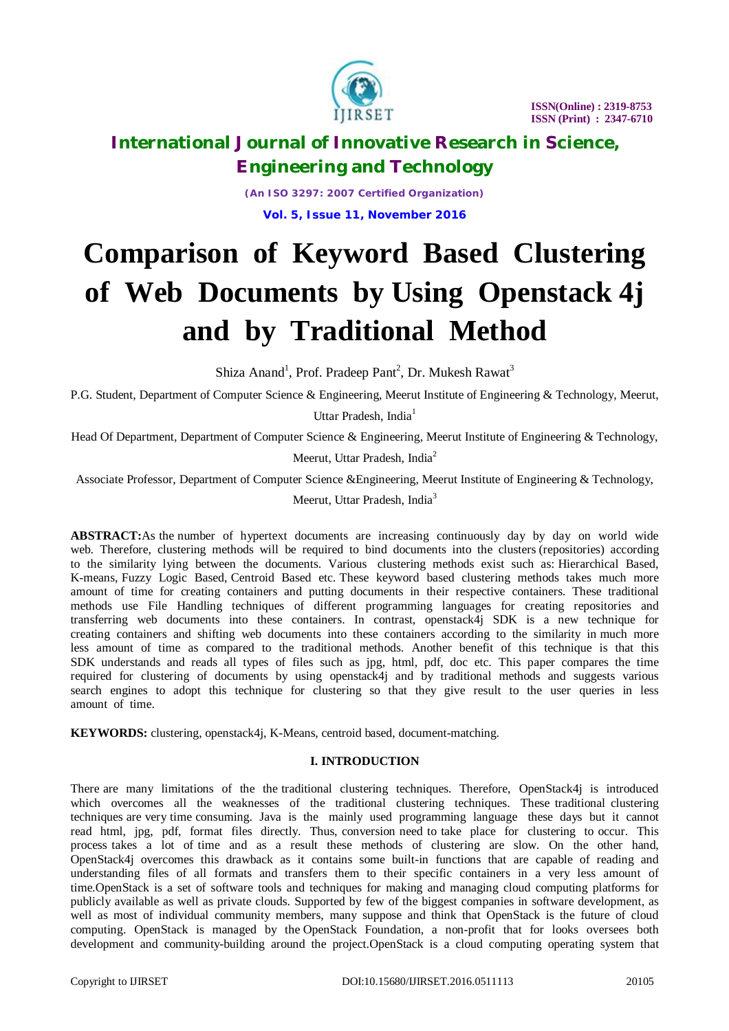

*(An ISO 3297: 2007 Certified Organization)* **Vol. 5, Issue 11, November 2016**

# **Comparison of Keyword Based Clustering of Web Documents by Using Openstack 4j and by Traditional Method**

Shiza Anand<sup>1</sup>, Prof. Pradeep Pant<sup>2</sup>, Dr. Mukesh Rawat<sup>3</sup>

P.G. Student, Department of Computer Science & Engineering, Meerut Institute of Engineering & Technology, Meerut,

Uttar Pradesh, India<sup>1</sup>

Head Of Department, Department of Computer Science & Engineering, Meerut Institute of Engineering & Technology,

Meerut, Uttar Pradesh, India $2$ 

Associate Professor, Department of Computer Science &Engineering, Meerut Institute of Engineering & Technology,

Meerut, Uttar Pradesh, India<sup>3</sup>

**ABSTRACT:**As the number of hypertext documents are increasing continuously day by day on world wide web. Therefore, clustering methods will be required to bind documents into the clusters (repositories) according to the similarity lying between the documents. Various clustering methods exist such as: Hierarchical Based, K-means, Fuzzy Logic Based, Centroid Based etc. These keyword based clustering methods takes much more amount of time for creating containers and putting documents in their respective containers. These traditional methods use File Handling techniques of different programming languages for creating repositories and transferring web documents into these containers. In contrast, openstack4j SDK is a new technique for creating containers and shifting web documents into these containers according to the similarity in much more less amount of time as compared to the traditional methods. Another benefit of this technique is that this SDK understands and reads all types of files such as jpg, html, pdf, doc etc. This paper compares the time required for clustering of documents by using openstack4j and by traditional methods and suggests various search engines to adopt this technique for clustering so that they give result to the user queries in less amount of time.

**KEYWORDS:** clustering, openstack4j, K-Means, centroid based, document-matching.

# **I. INTRODUCTION**

There are many limitations of the the traditional clustering techniques. Therefore, OpenStack4j is introduced which overcomes all the weaknesses of the traditional clustering techniques. These traditional clustering techniques are very time consuming. Java is the mainly used programming language these days but it cannot read html, jpg, pdf, format files directly. Thus, conversion need to take place for clustering to occur. This process takes a lot of time and as a result these methods of clustering are slow. On the other hand, OpenStack4j overcomes this drawback as it contains some built-in functions that are capable of reading and understanding files of all formats and transfers them to their specific containers in a very less amount of time.OpenStack is a set of software tools and techniques for making and managing cloud computing platforms for publicly available as well as private clouds. Supported by few of the biggest companies in software development, as well as most of individual community members, many suppose and think that OpenStack is the future of cloud computing. OpenStack is managed by the OpenStack Foundation, a non-profit that for looks oversees both development and community-building around the project.OpenStack is a cloud computing operating system that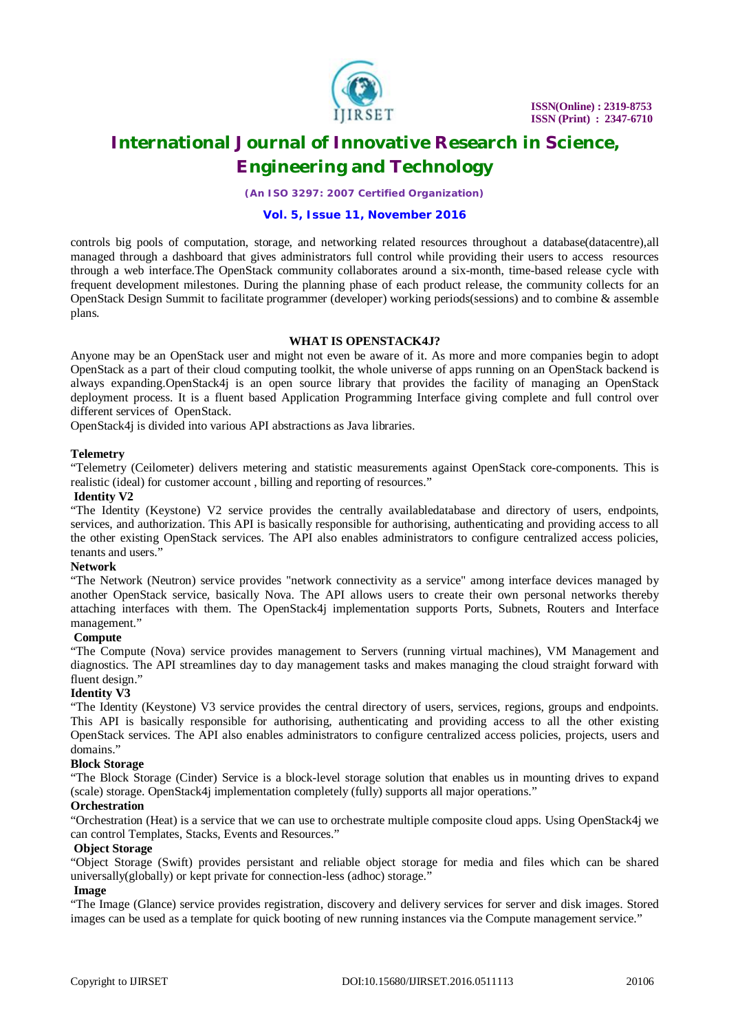

*(An ISO 3297: 2007 Certified Organization)*

### **Vol. 5, Issue 11, November 2016**

controls big pools of computation, storage, and networking related resources throughout a database(datacentre),all managed through a dashboard that gives administrators full control while providing their users to access resources through a web interface.The OpenStack community collaborates around a six-month, time-based release cycle with frequent development milestones. During the planning phase of each product release, the community collects for an OpenStack Design Summit to facilitate programmer (developer) working periods(sessions) and to combine & assemble plans.

# **WHAT IS OPENSTACK4J?**

Anyone may be an OpenStack user and might not even be aware of it. As more and more companies begin to adopt OpenStack as a part of their cloud computing toolkit, the whole universe of apps running on an OpenStack backend is always expanding.OpenStack4j is an open source library that provides the facility of managing an OpenStack deployment process. It is a fluent based Application Programming Interface giving complete and full control over different services of OpenStack.

OpenStack4j is divided into various API abstractions as Java libraries.

# **Telemetry**

"Telemetry (Ceilometer) delivers metering and statistic measurements against OpenStack core-components. This is realistic (ideal) for customer account , billing and reporting of resources."

#### **Identity V2**

"The Identity (Keystone) V2 service provides the centrally availabledatabase and directory of users, endpoints, services, and authorization. This API is basically responsible for authorising, authenticating and providing access to all the other existing OpenStack services. The API also enables administrators to configure centralized access policies, tenants and users.'

# **Network**

"The Network (Neutron) service provides "network connectivity as a service" among interface devices managed by another OpenStack service, basically Nova. The API allows users to create their own personal networks thereby attaching interfaces with them. The OpenStack4j implementation supports Ports, Subnets, Routers and Interface management."

# **Compute**

"The Compute (Nova) service provides management to Servers (running virtual machines), VM Management and diagnostics. The API streamlines day to day management tasks and makes managing the cloud straight forward with fluent design."

# **Identity V3**

"The Identity (Keystone) V3 service provides the central directory of users, services, regions, groups and endpoints. This API is basically responsible for authorising, authenticating and providing access to all the other existing OpenStack services. The API also enables administrators to configure centralized access policies, projects, users and domains."

# **Block Storage**

"The Block Storage (Cinder) Service is a block-level storage solution that enables us in mounting drives to expand (scale) storage. OpenStack4j implementation completely (fully) supports all major operations."

# **Orchestration**

"Orchestration (Heat) is a service that we can use to orchestrate multiple composite cloud apps. Using OpenStack4j we can control Templates, Stacks, Events and Resources."

# **Object Storage**

"Object Storage (Swift) provides persistant and reliable object storage for media and files which can be shared universally(globally) or kept private for connection-less (adhoc) storage."

# **Image**

"The Image (Glance) service provides registration, discovery and delivery services for server and disk images. Stored images can be used as a template for quick booting of new running instances via the Compute management service."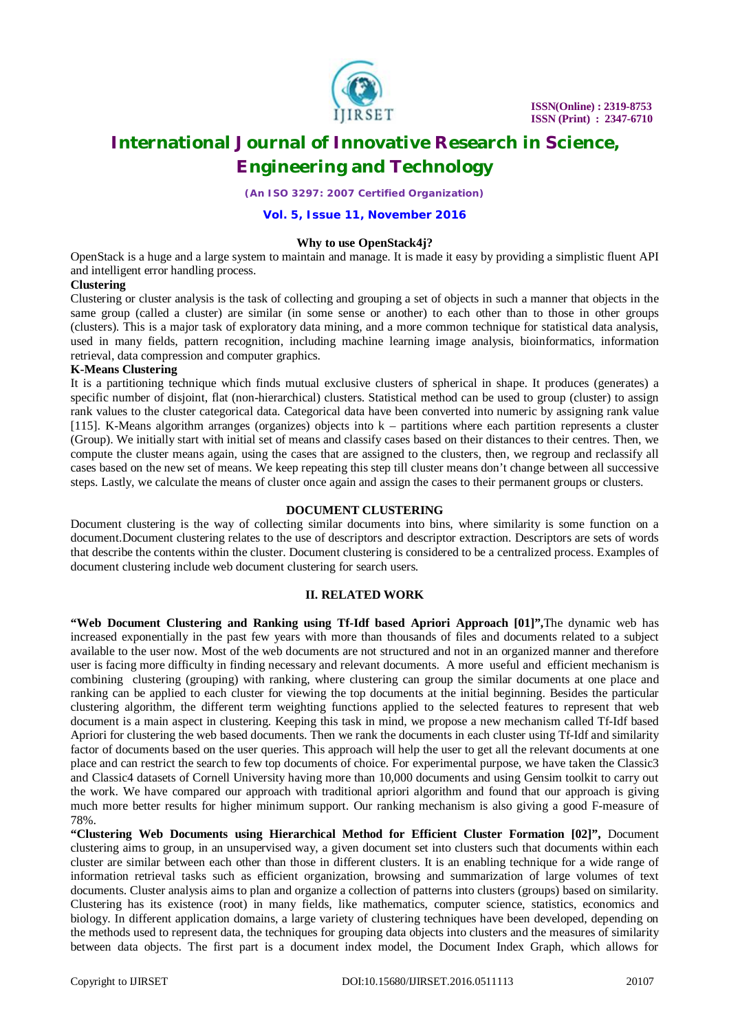

*(An ISO 3297: 2007 Certified Organization)*

#### **Vol. 5, Issue 11, November 2016**

#### **Why to use OpenStack4j?**

OpenStack is a huge and a large system to maintain and manage. It is made it easy by providing a simplistic fluent API and intelligent error handling process.

#### **Clustering**

Clustering or cluster analysis is the task of collecting and grouping a set of objects in such a manner that objects in the same group (called a cluster) are similar (in some sense or another) to each other than to those in other groups (clusters). This is a major task of exploratory data mining, and a more common technique for statistical data analysis, used in many fields, pattern recognition, including machine learning image analysis, bioinformatics, information retrieval, data compression and computer graphics.

#### **K-Means Clustering**

It is a partitioning technique which finds mutual exclusive clusters of spherical in shape. It produces (generates) a specific number of disjoint, flat (non-hierarchical) clusters. Statistical method can be used to group (cluster) to assign rank values to the cluster categorical data. Categorical data have been converted into numeric by assigning rank value [115]. K-Means algorithm arranges (organizes) objects into k – partitions where each partition represents a cluster (Group). We initially start with initial set of means and classify cases based on their distances to their centres. Then, we compute the cluster means again, using the cases that are assigned to the clusters, then, we regroup and reclassify all cases based on the new set of means. We keep repeating this step till cluster means don't change between all successive steps. Lastly, we calculate the means of cluster once again and assign the cases to their permanent groups or clusters.

#### **DOCUMENT CLUSTERING**

Document clustering is the way of collecting similar documents into bins, where similarity is some function on a document.Document clustering relates to the use of descriptors and descriptor extraction. Descriptors are sets of words that describe the contents within the cluster. Document clustering is considered to be a centralized process. Examples of document clustering include web document clustering for search users.

#### **II. RELATED WORK**

**"Web Document Clustering and Ranking using Tf-Idf based Apriori Approach [01]",**The dynamic web has increased exponentially in the past few years with more than thousands of files and documents related to a subject available to the user now. Most of the web documents are not structured and not in an organized manner and therefore user is facing more difficulty in finding necessary and relevant documents. A more useful and efficient mechanism is combining clustering (grouping) with ranking, where clustering can group the similar documents at one place and ranking can be applied to each cluster for viewing the top documents at the initial beginning. Besides the particular clustering algorithm, the different term weighting functions applied to the selected features to represent that web document is a main aspect in clustering. Keeping this task in mind, we propose a new mechanism called Tf-Idf based Apriori for clustering the web based documents. Then we rank the documents in each cluster using Tf-Idf and similarity factor of documents based on the user queries. This approach will help the user to get all the relevant documents at one place and can restrict the search to few top documents of choice. For experimental purpose, we have taken the Classic3 and Classic4 datasets of Cornell University having more than 10,000 documents and using Gensim toolkit to carry out the work. We have compared our approach with traditional apriori algorithm and found that our approach is giving much more better results for higher minimum support. Our ranking mechanism is also giving a good F-measure of 78%.

**"Clustering Web Documents using Hierarchical Method for Efficient Cluster Formation [02]",** Document clustering aims to group, in an unsupervised way, a given document set into clusters such that documents within each cluster are similar between each other than those in different clusters. It is an enabling technique for a wide range of information retrieval tasks such as efficient organization, browsing and summarization of large volumes of text documents. Cluster analysis aims to plan and organize a collection of patterns into clusters (groups) based on similarity. Clustering has its existence (root) in many fields, like mathematics, computer science, statistics, economics and biology. In different application domains, a large variety of clustering techniques have been developed, depending on the methods used to represent data, the techniques for grouping data objects into clusters and the measures of similarity between data objects. The first part is a document index model, the Document Index Graph, which allows for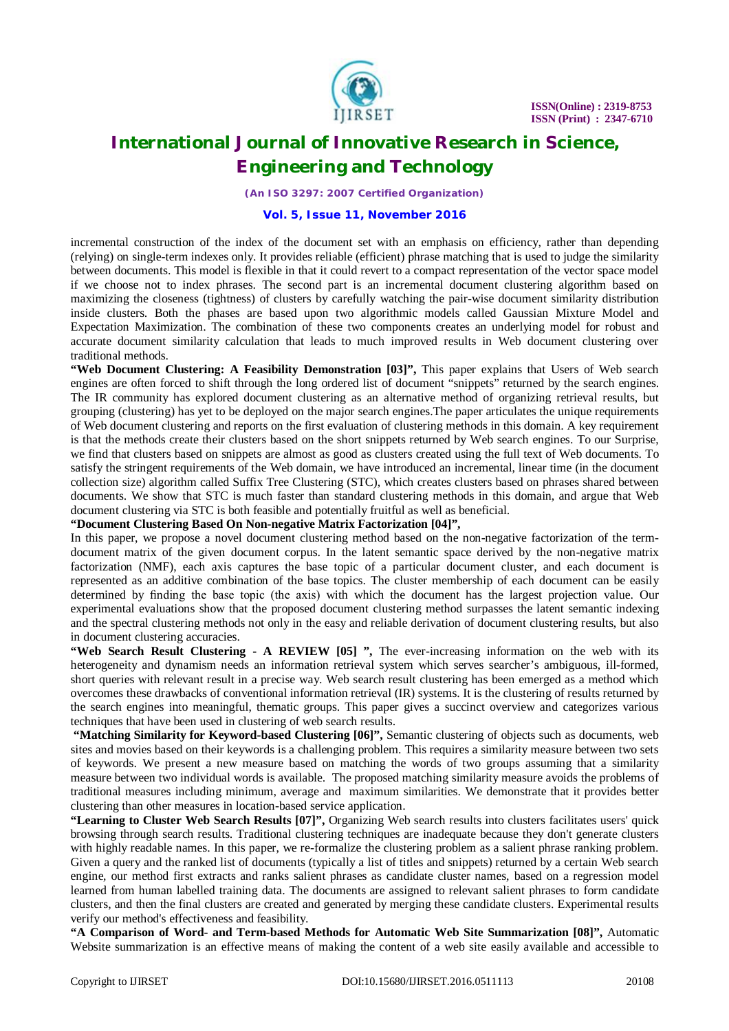

*(An ISO 3297: 2007 Certified Organization)*

#### **Vol. 5, Issue 11, November 2016**

incremental construction of the index of the document set with an emphasis on efficiency, rather than depending (relying) on single-term indexes only. It provides reliable (efficient) phrase matching that is used to judge the similarity between documents. This model is flexible in that it could revert to a compact representation of the vector space model if we choose not to index phrases. The second part is an incremental document clustering algorithm based on maximizing the closeness (tightness) of clusters by carefully watching the pair-wise document similarity distribution inside clusters. Both the phases are based upon two algorithmic models called Gaussian Mixture Model and Expectation Maximization. The combination of these two components creates an underlying model for robust and accurate document similarity calculation that leads to much improved results in Web document clustering over traditional methods.

**"Web Document Clustering: A Feasibility Demonstration [03]",** This paper explains that Users of Web search engines are often forced to shift through the long ordered list of document "snippets" returned by the search engines. The IR community has explored document clustering as an alternative method of organizing retrieval results, but grouping (clustering) has yet to be deployed on the major search engines.The paper articulates the unique requirements of Web document clustering and reports on the first evaluation of clustering methods in this domain. A key requirement is that the methods create their clusters based on the short snippets returned by Web search engines. To our Surprise, we find that clusters based on snippets are almost as good as clusters created using the full text of Web documents. To satisfy the stringent requirements of the Web domain, we have introduced an incremental, linear time (in the document collection size) algorithm called Suffix Tree Clustering (STC), which creates clusters based on phrases shared between documents. We show that STC is much faster than standard clustering methods in this domain, and argue that Web document clustering via STC is both feasible and potentially fruitful as well as beneficial.

# **"Document Clustering Based On Non-negative Matrix Factorization [04]",**

In this paper, we propose a novel document clustering method based on the non-negative factorization of the termdocument matrix of the given document corpus. In the latent semantic space derived by the non-negative matrix factorization (NMF), each axis captures the base topic of a particular document cluster, and each document is represented as an additive combination of the base topics. The cluster membership of each document can be easily determined by finding the base topic (the axis) with which the document has the largest projection value. Our experimental evaluations show that the proposed document clustering method surpasses the latent semantic indexing and the spectral clustering methods not only in the easy and reliable derivation of document clustering results, but also in document clustering accuracies.

**"Web Search Result Clustering - A REVIEW [05] ",** The ever-increasing information on the web with its heterogeneity and dynamism needs an information retrieval system which serves searcher's ambiguous, ill-formed, short queries with relevant result in a precise way. Web search result clustering has been emerged as a method which overcomes these drawbacks of conventional information retrieval (IR) systems. It is the clustering of results returned by the search engines into meaningful, thematic groups. This paper gives a succinct overview and categorizes various techniques that have been used in clustering of web search results.

**"Matching Similarity for Keyword-based Clustering [06]",** Semantic clustering of objects such as documents, web sites and movies based on their keywords is a challenging problem. This requires a similarity measure between two sets of keywords. We present a new measure based on matching the words of two groups assuming that a similarity measure between two individual words is available. The proposed matching similarity measure avoids the problems of traditional measures including minimum, average and maximum similarities. We demonstrate that it provides better clustering than other measures in location-based service application.

**"Learning to Cluster Web Search Results [07]",** Organizing Web search results into clusters facilitates users' quick browsing through search results. Traditional clustering techniques are inadequate because they don't generate clusters with highly readable names. In this paper, we re-formalize the clustering problem as a salient phrase ranking problem. Given a query and the ranked list of documents (typically a list of titles and snippets) returned by a certain Web search engine, our method first extracts and ranks salient phrases as candidate cluster names, based on a regression model learned from human labelled training data. The documents are assigned to relevant salient phrases to form candidate clusters, and then the final clusters are created and generated by merging these candidate clusters. Experimental results verify our method's effectiveness and feasibility.

**"A Comparison of Word- and Term-based Methods for Automatic Web Site Summarization [08]",** Automatic Website summarization is an effective means of making the content of a web site easily available and accessible to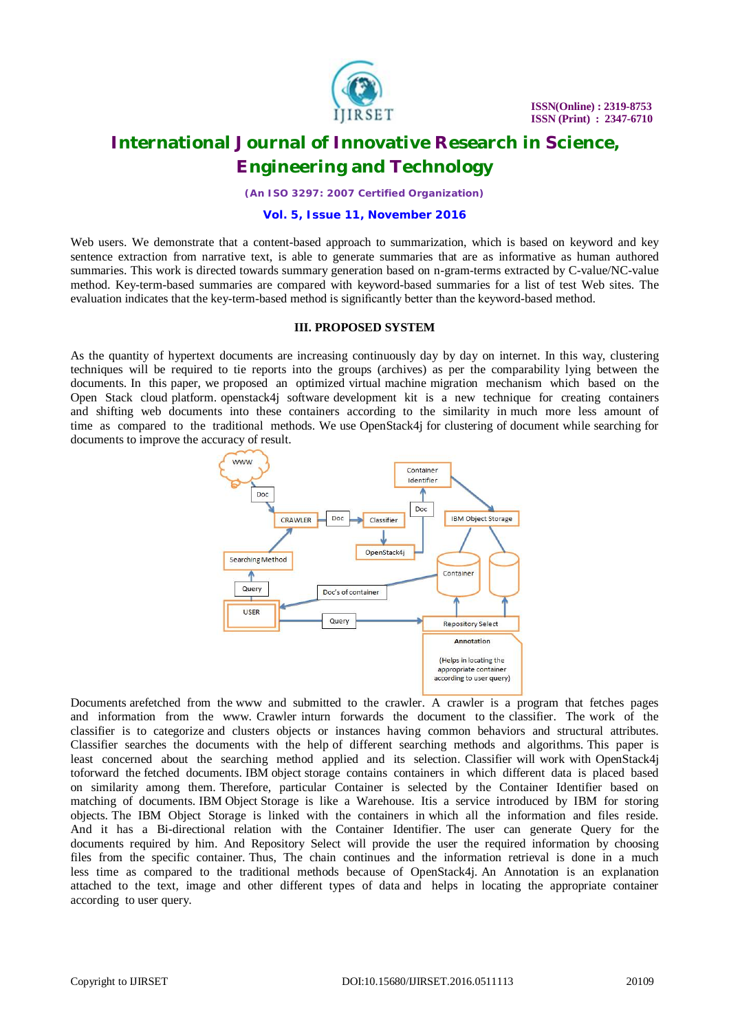

*(An ISO 3297: 2007 Certified Organization)*

#### **Vol. 5, Issue 11, November 2016**

Web users. We demonstrate that a content-based approach to summarization, which is based on keyword and key sentence extraction from narrative text, is able to generate summaries that are as informative as human authored summaries. This work is directed towards summary generation based on n-gram-terms extracted by C-value/NC-value method. Key-term-based summaries are compared with keyword-based summaries for a list of test Web sites. The evaluation indicates that the key-term-based method is significantly better than the keyword-based method.

#### **III. PROPOSED SYSTEM**

As the quantity of hypertext documents are increasing continuously day by day on internet. In this way, clustering techniques will be required to tie reports into the groups (archives) as per the comparability lying between the documents. In this paper, we proposed an optimized virtual machine migration mechanism which based on the Open Stack cloud platform. openstack4j software development kit is a new technique for creating containers and shifting web documents into these containers according to the similarity in much more less amount of time as compared to the traditional methods. We use OpenStack4j for clustering of document while searching for documents to improve the accuracy of result.



Documents arefetched from the www and submitted to the crawler. A crawler is a program that fetches pages and information from the www. Crawler inturn forwards the document to the classifier. The work of the classifier is to categorize and clusters objects or instances having common behaviors and structural attributes. Classifier searches the documents with the help of different searching methods and algorithms. This paper is least concerned about the searching method applied and its selection. Classifier will work with OpenStack4j toforward the fetched documents. IBM object storage contains containers in which different data is placed based on similarity among them. Therefore, particular Container is selected by the Container Identifier based on matching of documents. IBM Object Storage is like a Warehouse. Itis a service introduced by IBM for storing objects. The IBM Object Storage is linked with the containers in which all the information and files reside. And it has a Bi-directional relation with the Container Identifier. The user can generate Query for the documents required by him. And Repository Select will provide the user the required information by choosing files from the specific container. Thus, The chain continues and the information retrieval is done in a much less time as compared to the traditional methods because of OpenStack4j. An Annotation is an explanation attached to the text, image and other different types of data and helps in locating the appropriate container according to user query.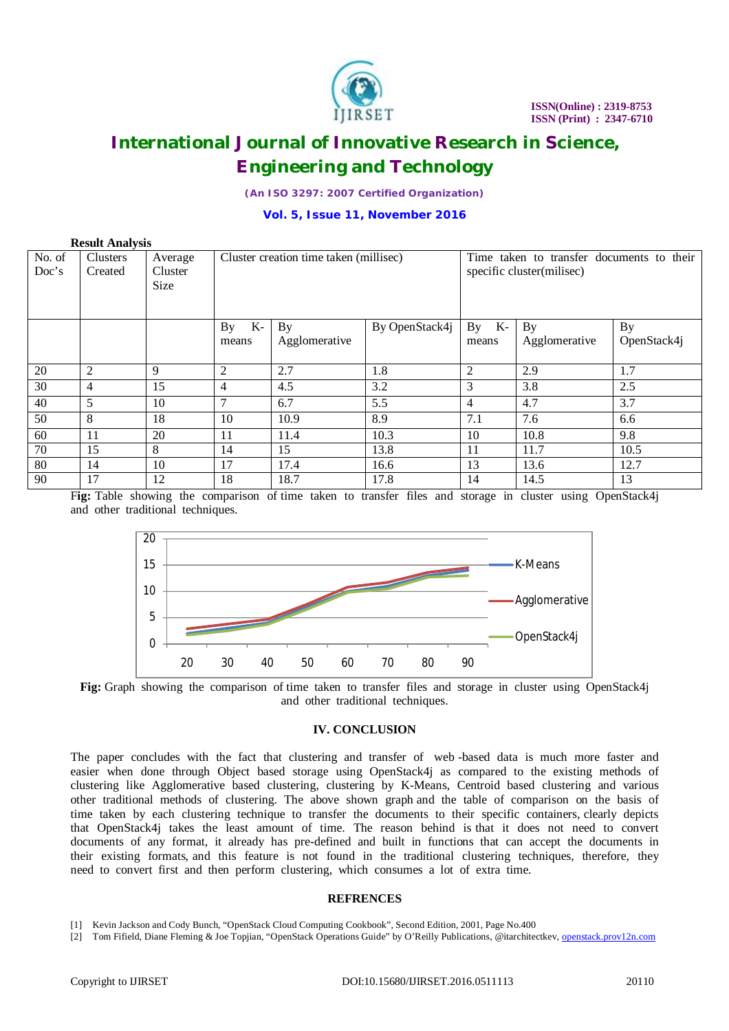

*(An ISO 3297: 2007 Certified Organization)*

#### **Vol. 5, Issue 11, November 2016**

| <b>Result Analysis</b> |                 |         |                                        |               |                |                                           |               |             |
|------------------------|-----------------|---------|----------------------------------------|---------------|----------------|-------------------------------------------|---------------|-------------|
| No. of                 | <b>Clusters</b> | Average | Cluster creation time taken (millisec) |               |                | Time taken to transfer documents to their |               |             |
| Doc's                  | Created         | Cluster |                                        |               |                | specific cluster(milisec)                 |               |             |
|                        |                 | Size    |                                        |               |                |                                           |               |             |
|                        |                 |         |                                        |               |                |                                           |               |             |
|                        |                 |         |                                        |               |                |                                           |               |             |
|                        |                 |         | K-<br>By                               | By            | By OpenStack4j | $\overline{K}$ -<br>By                    | By            | <b>By</b>   |
|                        |                 |         | means                                  | Agglomerative |                | means                                     | Agglomerative | OpenStack4j |
|                        |                 |         |                                        |               |                |                                           |               |             |
| 20                     | 2               | 9       | 2                                      | 2.7           | 1.8            | $\overline{2}$                            | 2.9           | 1.7         |
| 30                     | 4               | 15      | 4                                      | 4.5           | 3.2            | 3                                         | 3.8           | 2.5         |
| 40                     | 5               | 10      | 7                                      | 6.7           | 5.5            | 4                                         | 4.7           | 3.7         |
| 50                     | 8               | 18      | 10                                     | 10.9          | 8.9            | 7.1                                       | 7.6           | 6.6         |
| 60                     | 11              | 20      | 11                                     | 11.4          | 10.3           | 10                                        | 10.8          | 9.8         |
| 70                     | 15              | 8       | 14                                     | 15            | 13.8           | 11                                        | 11.7          | 10.5        |
| 80                     | 14              | 10      | 17                                     | 17.4          | 16.6           | 13                                        | 13.6          | 12.7        |
| 90                     | 17              | 12      | 18                                     | 18.7          | 17.8           | 14                                        | 14.5          | 13          |

Fig: Table showing the comparison of time taken to transfer files and storage in cluster using OpenStack4j and other traditional techniques.



**Fig:** Graph showing the comparison of time taken to transfer files and storage in cluster using OpenStack4j and other traditional techniques.

#### **IV. CONCLUSION**

The paper concludes with the fact that clustering and transfer of web -based data is much more faster and easier when done through Object based storage using OpenStack4j as compared to the existing methods of clustering like Agglomerative based clustering, clustering by K-Means, Centroid based clustering and various other traditional methods of clustering. The above shown graph and the table of comparison on the basis of time taken by each clustering technique to transfer the documents to their specific containers, clearly depicts that OpenStack4j takes the least amount of time. The reason behind is that it does not need to convert documents of any format, it already has pre-defined and built in functions that can accept the documents in their existing formats, and this feature is not found in the traditional clustering techniques, therefore, they need to convert first and then perform clustering, which consumes a lot of extra time.

#### **REFRENCES**

[1] Kevin Jackson and Cody Bunch, "OpenStack Cloud Computing Cookbook", Second Edition, 2001, Page No.400

[2] Tom Fifield, Diane Fleming & Joe Topjian, "OpenStack Operations Guide" by O'Reilly Publications, @itarchitectkev, openstack.prov12n.com